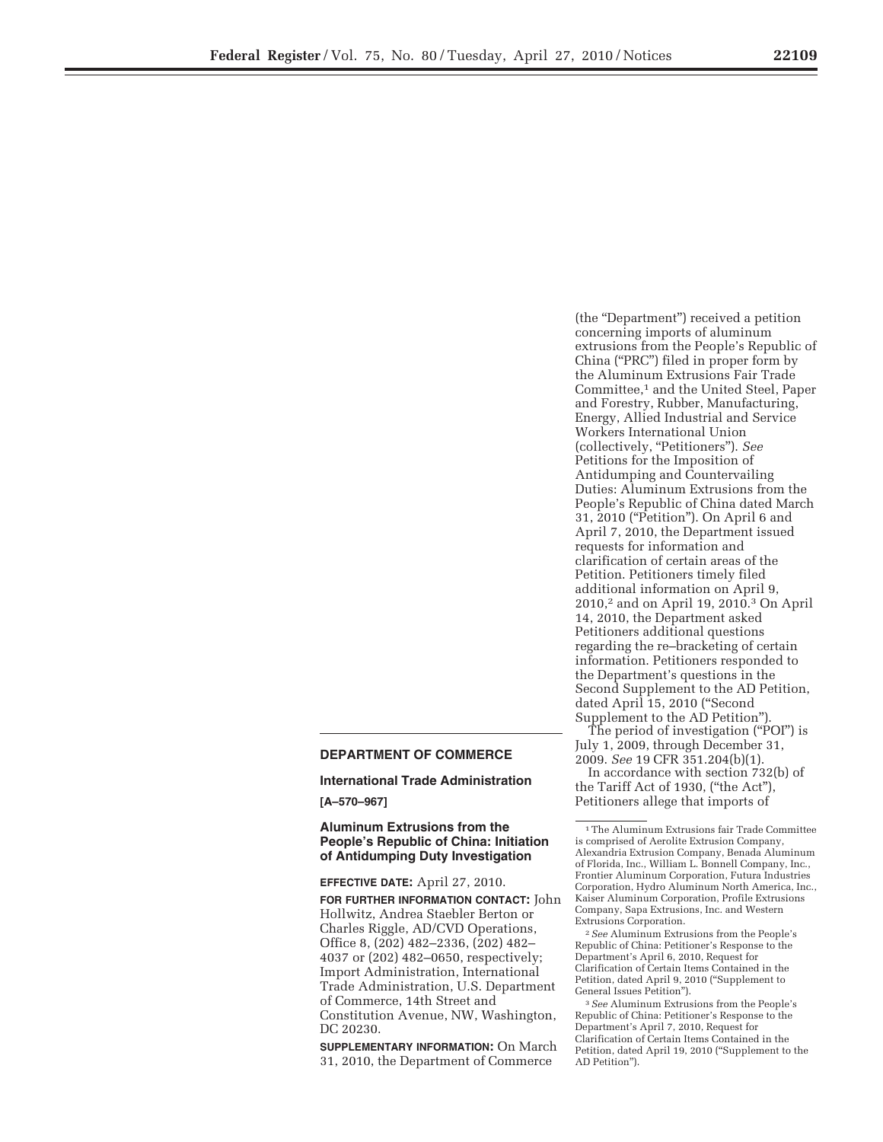# **DEPARTMENT OF COMMERCE**

#### **International Trade Administration**

**[A–570–967]** 

**Aluminum Extrusions from the People's Republic of China: Initiation of Antidumping Duty Investigation** 

**EFFECTIVE DATE:** April 27, 2010.

**FOR FURTHER INFORMATION CONTACT:** John Hollwitz, Andrea Staebler Berton or Charles Riggle, AD/CVD Operations, Office 8, (202) 482–2336, (202) 482– 4037 or (202) 482–0650, respectively; Import Administration, International Trade Administration, U.S. Department of Commerce, 14th Street and Constitution Avenue, NW, Washington, DC 20230.

**SUPPLEMENTARY INFORMATION:** On March 31, 2010, the Department of Commerce

(the ''Department'') received a petition concerning imports of aluminum extrusions from the People's Republic of China (''PRC'') filed in proper form by the Aluminum Extrusions Fair Trade Committee,1 and the United Steel, Paper and Forestry, Rubber, Manufacturing, Energy, Allied Industrial and Service Workers International Union (collectively, ''Petitioners''). *See*  Petitions for the Imposition of Antidumping and Countervailing Duties: Aluminum Extrusions from the People's Republic of China dated March 31, 2010 (''Petition''). On April 6 and April 7, 2010, the Department issued requests for information and clarification of certain areas of the Petition. Petitioners timely filed additional information on April 9, 2010,2 and on April 19, 2010.3 On April 14, 2010, the Department asked Petitioners additional questions regarding the re–bracketing of certain information. Petitioners responded to the Department's questions in the Second Supplement to the AD Petition, dated April 15, 2010 ("Second Supplement to the AD Petition'').

The period of investigation (''POI'') is July 1, 2009, through December 31, 2009. *See* 19 CFR 351.204(b)(1).

In accordance with section 732(b) of the Tariff Act of 1930, (''the Act''), Petitioners allege that imports of

2*See* Aluminum Extrusions from the People's Republic of China: Petitioner's Response to the Department's April 6, 2010, Request for Clarification of Certain Items Contained in the Petition, dated April 9, 2010 (''Supplement to General Issues Petition'').

3*See* Aluminum Extrusions from the People's Republic of China: Petitioner's Response to the Department's April 7, 2010, Request for Clarification of Certain Items Contained in the Petition, dated April 19, 2010 (''Supplement to the AD Petition'').

<sup>1</sup>The Aluminum Extrusions fair Trade Committee is comprised of Aerolite Extrusion Company, Alexandria Extrusion Company, Benada Aluminum of Florida, Inc., William L. Bonnell Company, Inc., Frontier Aluminum Corporation, Futura Industries Corporation, Hydro Aluminum North America, Inc., Kaiser Aluminum Corporation, Profile Extrusions Company, Sapa Extrusions, Inc. and Western Extrusions Corporation.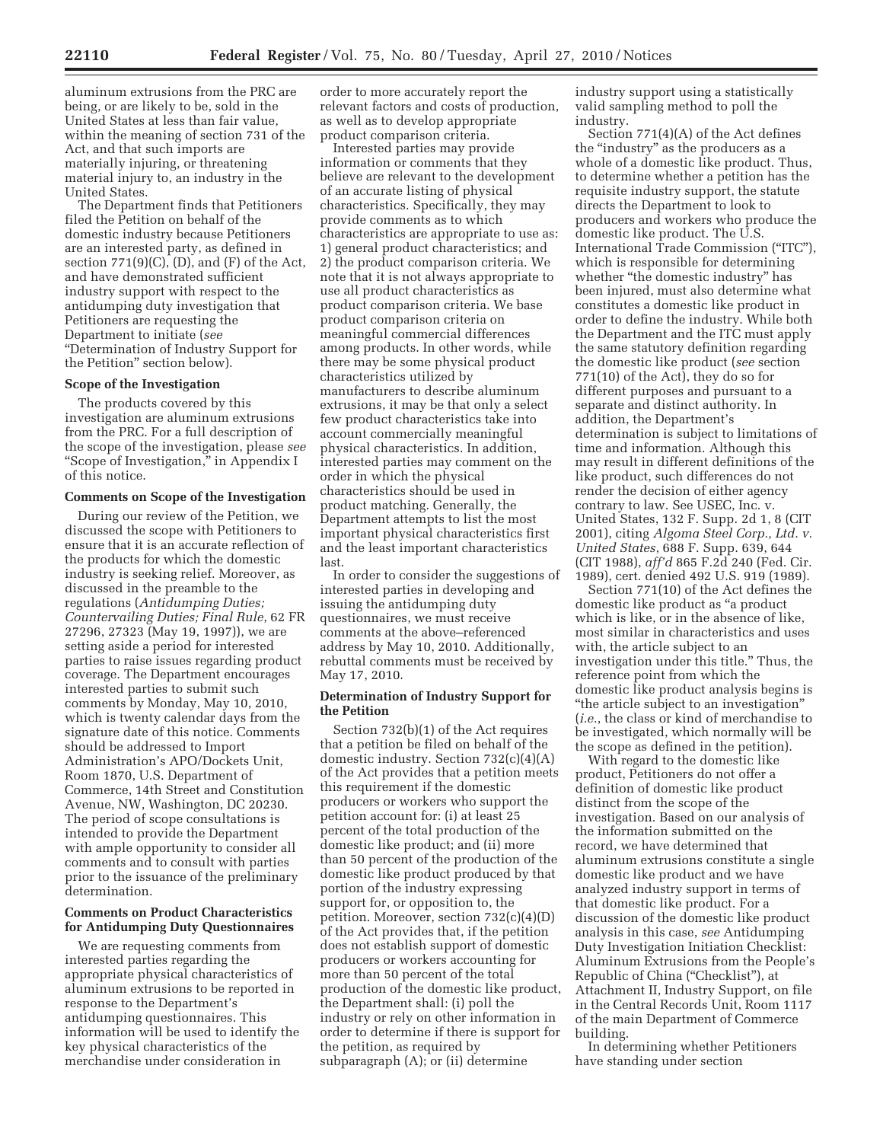aluminum extrusions from the PRC are being, or are likely to be, sold in the United States at less than fair value, within the meaning of section 731 of the Act, and that such imports are materially injuring, or threatening material injury to, an industry in the United States.

The Department finds that Petitioners filed the Petition on behalf of the domestic industry because Petitioners are an interested party, as defined in section  $771(9)(C)$ , (D), and (F) of the Act, and have demonstrated sufficient industry support with respect to the antidumping duty investigation that Petitioners are requesting the Department to initiate (*see*  ''Determination of Industry Support for the Petition'' section below).

### **Scope of the Investigation**

The products covered by this investigation are aluminum extrusions from the PRC. For a full description of the scope of the investigation, please *see*  ''Scope of Investigation,'' in Appendix I of this notice.

#### **Comments on Scope of the Investigation**

During our review of the Petition, we discussed the scope with Petitioners to ensure that it is an accurate reflection of the products for which the domestic industry is seeking relief. Moreover, as discussed in the preamble to the regulations (*Antidumping Duties; Countervailing Duties; Final Rule*, 62 FR 27296, 27323 (May 19, 1997)), we are setting aside a period for interested parties to raise issues regarding product coverage. The Department encourages interested parties to submit such comments by Monday, May 10, 2010, which is twenty calendar days from the signature date of this notice. Comments should be addressed to Import Administration's APO/Dockets Unit, Room 1870, U.S. Department of Commerce, 14th Street and Constitution Avenue, NW, Washington, DC 20230. The period of scope consultations is intended to provide the Department with ample opportunity to consider all comments and to consult with parties prior to the issuance of the preliminary determination.

#### **Comments on Product Characteristics for Antidumping Duty Questionnaires**

We are requesting comments from interested parties regarding the appropriate physical characteristics of aluminum extrusions to be reported in response to the Department's antidumping questionnaires. This information will be used to identify the key physical characteristics of the merchandise under consideration in

order to more accurately report the relevant factors and costs of production, as well as to develop appropriate product comparison criteria.

Interested parties may provide information or comments that they believe are relevant to the development of an accurate listing of physical characteristics. Specifically, they may provide comments as to which characteristics are appropriate to use as: 1) general product characteristics; and 2) the product comparison criteria. We note that it is not always appropriate to use all product characteristics as product comparison criteria. We base product comparison criteria on meaningful commercial differences among products. In other words, while there may be some physical product characteristics utilized by manufacturers to describe aluminum extrusions, it may be that only a select few product characteristics take into account commercially meaningful physical characteristics. In addition, interested parties may comment on the order in which the physical characteristics should be used in product matching. Generally, the Department attempts to list the most important physical characteristics first and the least important characteristics last.

In order to consider the suggestions of interested parties in developing and issuing the antidumping duty questionnaires, we must receive comments at the above–referenced address by May 10, 2010. Additionally, rebuttal comments must be received by May 17, 2010.

### **Determination of Industry Support for the Petition**

Section 732(b)(1) of the Act requires that a petition be filed on behalf of the domestic industry. Section 732(c)(4)(A) of the Act provides that a petition meets this requirement if the domestic producers or workers who support the petition account for: (i) at least 25 percent of the total production of the domestic like product; and (ii) more than 50 percent of the production of the domestic like product produced by that portion of the industry expressing support for, or opposition to, the petition. Moreover, section 732(c)(4)(D) of the Act provides that, if the petition does not establish support of domestic producers or workers accounting for more than 50 percent of the total production of the domestic like product, the Department shall: (i) poll the industry or rely on other information in order to determine if there is support for the petition, as required by subparagraph (A); or (ii) determine

industry support using a statistically valid sampling method to poll the industry.

Section 771(4)(A) of the Act defines the ''industry'' as the producers as a whole of a domestic like product. Thus, to determine whether a petition has the requisite industry support, the statute directs the Department to look to producers and workers who produce the domestic like product. The U.S. International Trade Commission (''ITC''), which is responsible for determining whether "the domestic industry" has been injured, must also determine what constitutes a domestic like product in order to define the industry. While both the Department and the ITC must apply the same statutory definition regarding the domestic like product (*see* section 771(10) of the Act), they do so for different purposes and pursuant to a separate and distinct authority. In addition, the Department's determination is subject to limitations of time and information. Although this may result in different definitions of the like product, such differences do not render the decision of either agency contrary to law. See USEC, Inc. v. United States, 132 F. Supp. 2d 1, 8 (CIT 2001), citing *Algoma Steel Corp., Ltd. v. United States*, 688 F. Supp. 639, 644 (CIT 1988), *aff'd* 865 F.2d 240 (Fed. Cir. 1989), cert. denied 492 U.S. 919 (1989).

Section 771(10) of the Act defines the domestic like product as ''a product which is like, or in the absence of like, most similar in characteristics and uses with, the article subject to an investigation under this title." Thus, the reference point from which the domestic like product analysis begins is ''the article subject to an investigation'' (*i.e.*, the class or kind of merchandise to be investigated, which normally will be the scope as defined in the petition).

With regard to the domestic like product, Petitioners do not offer a definition of domestic like product distinct from the scope of the investigation. Based on our analysis of the information submitted on the record, we have determined that aluminum extrusions constitute a single domestic like product and we have analyzed industry support in terms of that domestic like product. For a discussion of the domestic like product analysis in this case, *see* Antidumping Duty Investigation Initiation Checklist: Aluminum Extrusions from the People's Republic of China (''Checklist''), at Attachment II, Industry Support, on file in the Central Records Unit, Room 1117 of the main Department of Commerce building.

In determining whether Petitioners have standing under section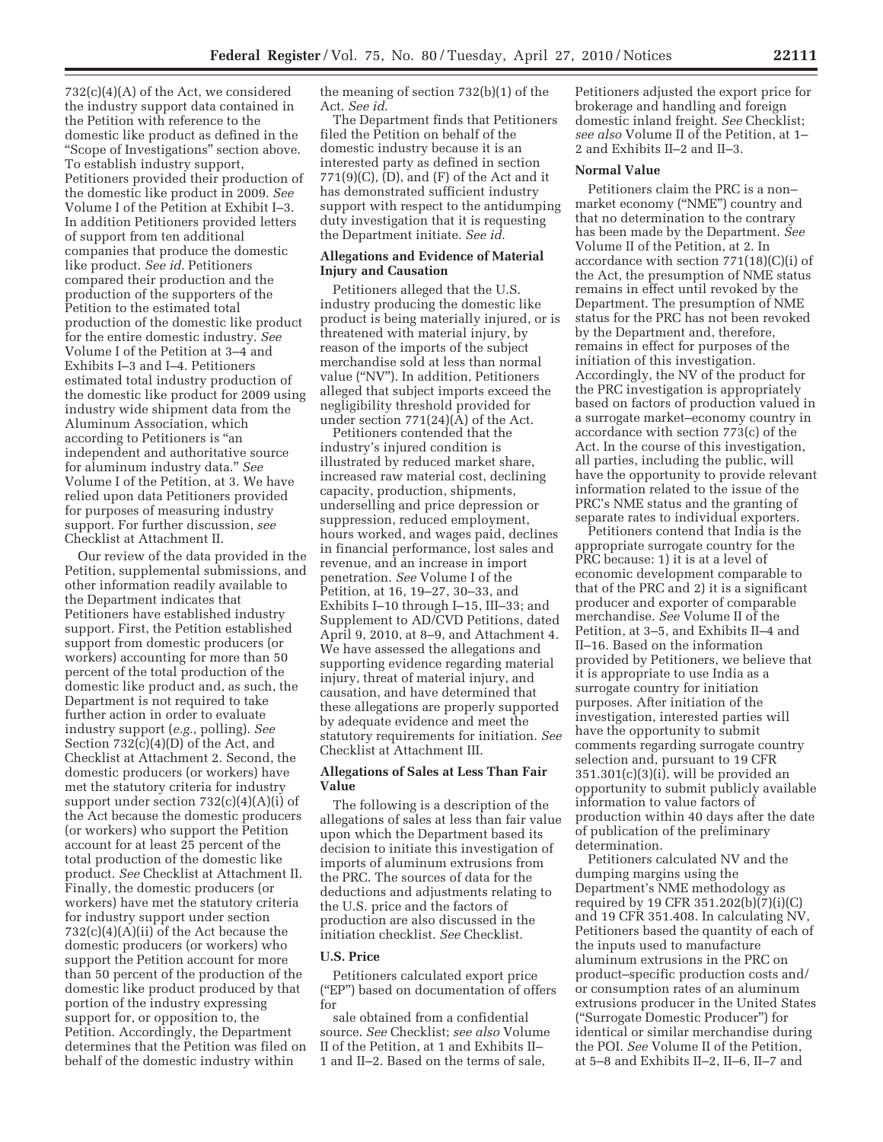732(c)(4)(A) of the Act, we considered the industry support data contained in the Petition with reference to the domestic like product as defined in the ''Scope of Investigations'' section above. To establish industry support, Petitioners provided their production of the domestic like product in 2009. *See*  Volume I of the Petition at Exhibit I–3. In addition Petitioners provided letters of support from ten additional companies that produce the domestic like product. *See id*. Petitioners compared their production and the production of the supporters of the Petition to the estimated total production of the domestic like product for the entire domestic industry. *See*  Volume I of the Petition at 3–4 and Exhibits I–3 and I–4. Petitioners estimated total industry production of the domestic like product for 2009 using industry wide shipment data from the Aluminum Association, which according to Petitioners is ''an independent and authoritative source for aluminum industry data.'' *See*  Volume I of the Petition, at 3. We have relied upon data Petitioners provided for purposes of measuring industry support. For further discussion, *see*  Checklist at Attachment II.

Our review of the data provided in the Petition, supplemental submissions, and other information readily available to the Department indicates that Petitioners have established industry support. First, the Petition established support from domestic producers (or workers) accounting for more than 50 percent of the total production of the domestic like product and, as such, the Department is not required to take further action in order to evaluate industry support (*e.g.*, polling). *See*  Section 732(c)(4)(D) of the Act, and Checklist at Attachment 2. Second, the domestic producers (or workers) have met the statutory criteria for industry support under section  $732(c)(4)(A)(i)$  of the Act because the domestic producers (or workers) who support the Petition account for at least 25 percent of the total production of the domestic like product. *See* Checklist at Attachment II. Finally, the domestic producers (or workers) have met the statutory criteria for industry support under section 732(c)(4)(A)(ii) of the Act because the domestic producers (or workers) who support the Petition account for more than 50 percent of the production of the domestic like product produced by that portion of the industry expressing support for, or opposition to, the Petition. Accordingly, the Department determines that the Petition was filed on behalf of the domestic industry within

the meaning of section 732(b)(1) of the Act. *See id*.

The Department finds that Petitioners filed the Petition on behalf of the domestic industry because it is an interested party as defined in section 771(9)(C), (D), and (F) of the Act and it has demonstrated sufficient industry support with respect to the antidumping duty investigation that it is requesting the Department initiate. *See id*.

#### **Allegations and Evidence of Material Injury and Causation**

Petitioners alleged that the U.S. industry producing the domestic like product is being materially injured, or is threatened with material injury, by reason of the imports of the subject merchandise sold at less than normal value (''NV''). In addition, Petitioners alleged that subject imports exceed the negligibility threshold provided for under section 771(24)(A) of the Act.

Petitioners contended that the industry's injured condition is illustrated by reduced market share, increased raw material cost, declining capacity, production, shipments, underselling and price depression or suppression, reduced employment, hours worked, and wages paid, declines in financial performance, lost sales and revenue, and an increase in import penetration. *See* Volume I of the Petition, at 16, 19–27, 30–33, and Exhibits I–10 through I–15, III–33; and Supplement to AD/CVD Petitions, dated April 9, 2010, at 8–9, and Attachment 4. We have assessed the allegations and supporting evidence regarding material injury, threat of material injury, and causation, and have determined that these allegations are properly supported by adequate evidence and meet the statutory requirements for initiation. *See*  Checklist at Attachment III.

## **Allegations of Sales at Less Than Fair Value**

The following is a description of the allegations of sales at less than fair value upon which the Department based its decision to initiate this investigation of imports of aluminum extrusions from the PRC. The sources of data for the deductions and adjustments relating to the U.S. price and the factors of production are also discussed in the initiation checklist. *See* Checklist.

## **U.S. Price**

Petitioners calculated export price (''EP'') based on documentation of offers for

sale obtained from a confidential source. *See* Checklist; *see also* Volume II of the Petition, at 1 and Exhibits II– 1 and II–2. Based on the terms of sale,

Petitioners adjusted the export price for brokerage and handling and foreign domestic inland freight. *See* Checklist; *see also* Volume II of the Petition, at 1– 2 and Exhibits II–2 and II–3.

### **Normal Value**

Petitioners claim the PRC is a non– market economy (''NME'') country and that no determination to the contrary has been made by the Department. *See*  Volume II of the Petition, at 2. In accordance with section 771(18)(C)(i) of the Act, the presumption of NME status remains in effect until revoked by the Department. The presumption of NME status for the PRC has not been revoked by the Department and, therefore, remains in effect for purposes of the initiation of this investigation. Accordingly, the NV of the product for the PRC investigation is appropriately based on factors of production valued in a surrogate market–economy country in accordance with section 773(c) of the Act. In the course of this investigation, all parties, including the public, will have the opportunity to provide relevant information related to the issue of the PRC's NME status and the granting of separate rates to individual exporters.

Petitioners contend that India is the appropriate surrogate country for the PRC because: 1) it is at a level of economic development comparable to that of the PRC and 2) it is a significant producer and exporter of comparable merchandise. *See* Volume II of the Petition, at 3–5, and Exhibits II–4 and II–16. Based on the information provided by Petitioners, we believe that it is appropriate to use India as a surrogate country for initiation purposes. After initiation of the investigation, interested parties will have the opportunity to submit comments regarding surrogate country selection and, pursuant to 19 CFR  $351.301(c)(3)(i)$ , will be provided an opportunity to submit publicly available information to value factors of production within 40 days after the date of publication of the preliminary determination.

Petitioners calculated NV and the dumping margins using the Department's NME methodology as required by 19 CFR 351.202(b)(7)(i)(C) and 19 CFR 351.408. In calculating NV, Petitioners based the quantity of each of the inputs used to manufacture aluminum extrusions in the PRC on product–specific production costs and/ or consumption rates of an aluminum extrusions producer in the United States (''Surrogate Domestic Producer'') for identical or similar merchandise during the POI. *See* Volume II of the Petition, at 5–8 and Exhibits II–2, II–6, II–7 and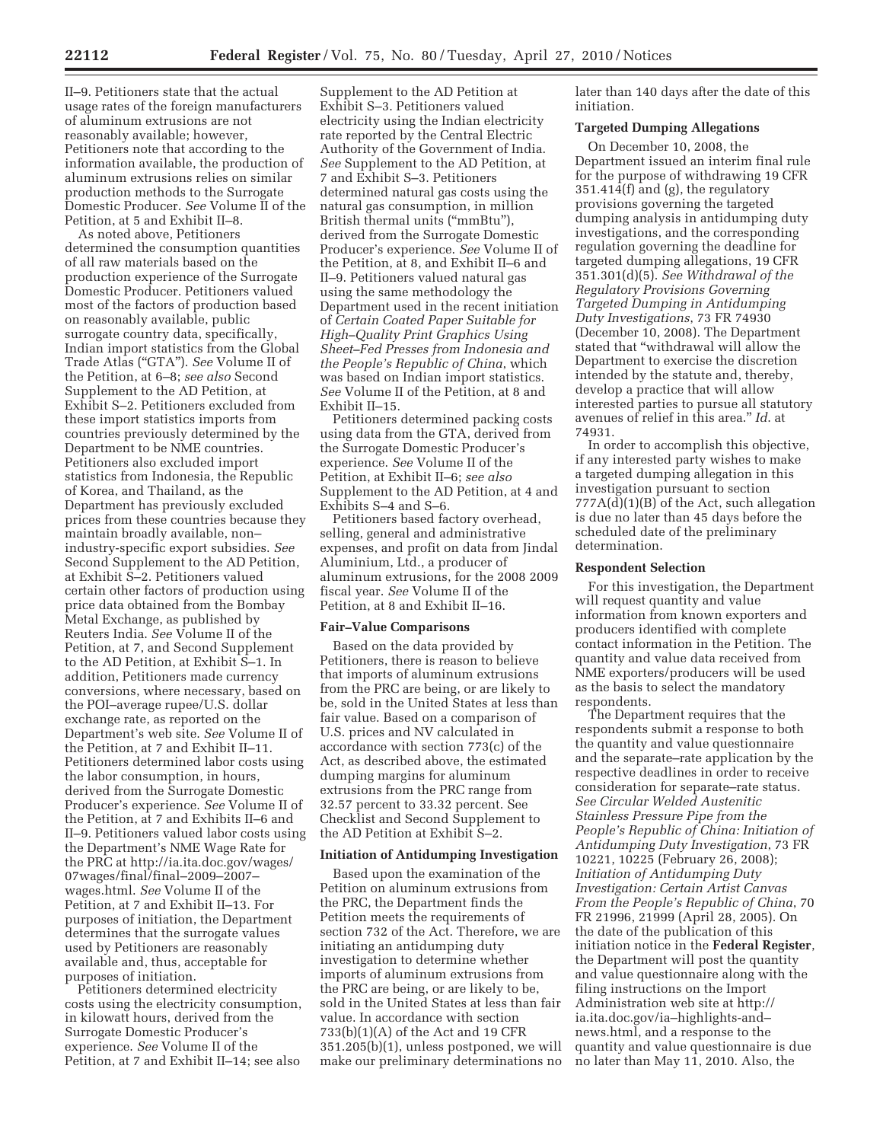II–9. Petitioners state that the actual usage rates of the foreign manufacturers of aluminum extrusions are not reasonably available; however, Petitioners note that according to the information available, the production of aluminum extrusions relies on similar production methods to the Surrogate Domestic Producer. *See* Volume II of the Petition, at 5 and Exhibit II–8.

As noted above, Petitioners determined the consumption quantities of all raw materials based on the production experience of the Surrogate Domestic Producer. Petitioners valued most of the factors of production based on reasonably available, public surrogate country data, specifically, Indian import statistics from the Global Trade Atlas (''GTA''). *See* Volume II of the Petition, at 6–8; *see also* Second Supplement to the AD Petition, at Exhibit S–2. Petitioners excluded from these import statistics imports from countries previously determined by the Department to be NME countries. Petitioners also excluded import statistics from Indonesia, the Republic of Korea, and Thailand, as the Department has previously excluded prices from these countries because they maintain broadly available, non– industry-specific export subsidies. *See*  Second Supplement to the AD Petition, at Exhibit S–2. Petitioners valued certain other factors of production using price data obtained from the Bombay Metal Exchange, as published by Reuters India. *See* Volume II of the Petition, at 7, and Second Supplement to the AD Petition, at Exhibit S–1. In addition, Petitioners made currency conversions, where necessary, based on the POI–average rupee/U.S. dollar exchange rate, as reported on the Department's web site. *See* Volume II of the Petition, at 7 and Exhibit II–11. Petitioners determined labor costs using the labor consumption, in hours, derived from the Surrogate Domestic Producer's experience. *See* Volume II of the Petition, at 7 and Exhibits II–6 and II–9. Petitioners valued labor costs using the Department's NME Wage Rate for the PRC at http://ia.ita.doc.gov/wages/ 07wages/final/final–2009–2007– wages.html. *See* Volume II of the Petition, at 7 and Exhibit II–13. For purposes of initiation, the Department determines that the surrogate values used by Petitioners are reasonably available and, thus, acceptable for purposes of initiation.

Petitioners determined electricity costs using the electricity consumption, in kilowatt hours, derived from the Surrogate Domestic Producer's experience. *See* Volume II of the Petition, at 7 and Exhibit II–14; see also

Supplement to the AD Petition at Exhibit S–3. Petitioners valued electricity using the Indian electricity rate reported by the Central Electric Authority of the Government of India. *See* Supplement to the AD Petition, at 7 and Exhibit S–3. Petitioners determined natural gas costs using the natural gas consumption, in million British thermal units (''mmBtu''), derived from the Surrogate Domestic Producer's experience. *See* Volume II of the Petition, at 8, and Exhibit II–6 and II–9. Petitioners valued natural gas using the same methodology the Department used in the recent initiation of *Certain Coated Paper Suitable for High–Quality Print Graphics Using Sheet–Fed Presses from Indonesia and the People's Republic of China*, which was based on Indian import statistics. *See* Volume II of the Petition, at 8 and Exhibit II–15.

Petitioners determined packing costs using data from the GTA, derived from the Surrogate Domestic Producer's experience. *See* Volume II of the Petition, at Exhibit II–6; *see also*  Supplement to the AD Petition, at 4 and Exhibits S–4 and S–6.

Petitioners based factory overhead, selling, general and administrative expenses, and profit on data from Jindal Aluminium, Ltd., a producer of aluminum extrusions, for the 2008 2009 fiscal year. *See* Volume II of the Petition, at 8 and Exhibit II–16.

#### **Fair–Value Comparisons**

Based on the data provided by Petitioners, there is reason to believe that imports of aluminum extrusions from the PRC are being, or are likely to be, sold in the United States at less than fair value. Based on a comparison of U.S. prices and NV calculated in accordance with section 773(c) of the Act, as described above, the estimated dumping margins for aluminum extrusions from the PRC range from 32.57 percent to 33.32 percent. See Checklist and Second Supplement to the AD Petition at Exhibit S–2.

#### **Initiation of Antidumping Investigation**

Based upon the examination of the Petition on aluminum extrusions from the PRC, the Department finds the Petition meets the requirements of section 732 of the Act. Therefore, we are initiating an antidumping duty investigation to determine whether imports of aluminum extrusions from the PRC are being, or are likely to be, sold in the United States at less than fair value. In accordance with section 733(b)(1)(A) of the Act and 19 CFR 351.205(b)(1), unless postponed, we will make our preliminary determinations no later than 140 days after the date of this initiation.

### **Targeted Dumping Allegations**

On December 10, 2008, the Department issued an interim final rule for the purpose of withdrawing 19 CFR 351.414(f) and (g), the regulatory provisions governing the targeted dumping analysis in antidumping duty investigations, and the corresponding regulation governing the deadline for targeted dumping allegations, 19 CFR 351.301(d)(5). *See Withdrawal of the Regulatory Provisions Governing Targeted Dumping in Antidumping Duty Investigations*, 73 FR 74930 (December 10, 2008). The Department stated that ''withdrawal will allow the Department to exercise the discretion intended by the statute and, thereby, develop a practice that will allow interested parties to pursue all statutory avenues of relief in this area.'' *Id*. at 74931.

In order to accomplish this objective, if any interested party wishes to make a targeted dumping allegation in this investigation pursuant to section  $777A(d)(1)(B)$  of the Act, such allegation is due no later than 45 days before the scheduled date of the preliminary determination.

#### **Respondent Selection**

For this investigation, the Department will request quantity and value information from known exporters and producers identified with complete contact information in the Petition. The quantity and value data received from NME exporters/producers will be used as the basis to select the mandatory respondents.

The Department requires that the respondents submit a response to both the quantity and value questionnaire and the separate–rate application by the respective deadlines in order to receive consideration for separate–rate status. *See Circular Welded Austenitic Stainless Pressure Pipe from the People's Republic of China: Initiation of Antidumping Duty Investigation*, 73 FR 10221, 10225 (February 26, 2008); *Initiation of Antidumping Duty Investigation: Certain Artist Canvas From the People's Republic of China*, 70 FR 21996, 21999 (April 28, 2005). On the date of the publication of this initiation notice in the **Federal Register**, the Department will post the quantity and value questionnaire along with the filing instructions on the Import Administration web site at http:// ia.ita.doc.gov/ia–highlights-and– news.html, and a response to the quantity and value questionnaire is due no later than May 11, 2010. Also, the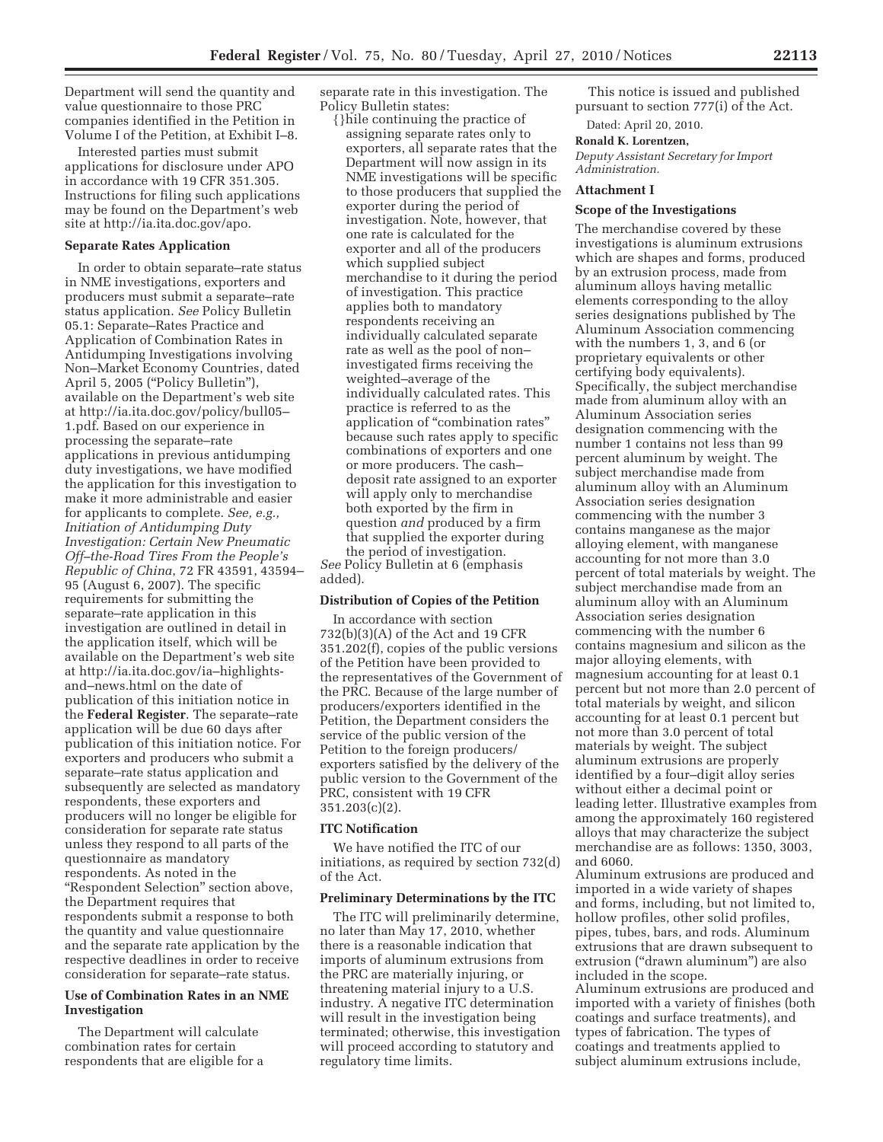Department will send the quantity and value questionnaire to those PRC companies identified in the Petition in Volume I of the Petition, at Exhibit I–8.

Interested parties must submit applications for disclosure under APO in accordance with 19 CFR 351.305. Instructions for filing such applications may be found on the Department's web site at http://ia.ita.doc.gov/apo.

### **Separate Rates Application**

In order to obtain separate–rate status in NME investigations, exporters and producers must submit a separate–rate status application. *See* Policy Bulletin 05.1: Separate–Rates Practice and Application of Combination Rates in Antidumping Investigations involving Non–Market Economy Countries, dated April 5, 2005 (''Policy Bulletin''), available on the Department's web site at http://ia.ita.doc.gov/policy/bull05– 1.pdf. Based on our experience in processing the separate–rate applications in previous antidumping duty investigations, we have modified the application for this investigation to make it more administrable and easier for applicants to complete. *See, e.g., Initiation of Antidumping Duty Investigation: Certain New Pneumatic Off–the-Road Tires From the People's Republic of China*, 72 FR 43591, 43594– 95 (August 6, 2007). The specific requirements for submitting the separate–rate application in this investigation are outlined in detail in the application itself, which will be available on the Department's web site at http://ia.ita.doc.gov/ia–highlightsand–news.html on the date of publication of this initiation notice in the **Federal Register**. The separate–rate application will be due 60 days after publication of this initiation notice. For exporters and producers who submit a separate–rate status application and subsequently are selected as mandatory respondents, these exporters and producers will no longer be eligible for consideration for separate rate status unless they respond to all parts of the questionnaire as mandatory respondents. As noted in the ''Respondent Selection'' section above, the Department requires that respondents submit a response to both the quantity and value questionnaire and the separate rate application by the respective deadlines in order to receive consideration for separate–rate status.

### **Use of Combination Rates in an NME Investigation**

The Department will calculate combination rates for certain respondents that are eligible for a separate rate in this investigation. The Policy Bulletin states:

{}hile continuing the practice of assigning separate rates only to exporters, all separate rates that the Department will now assign in its NME investigations will be specific to those producers that supplied the exporter during the period of investigation. Note, however, that one rate is calculated for the exporter and all of the producers which supplied subject merchandise to it during the period of investigation. This practice applies both to mandatory respondents receiving an individually calculated separate rate as well as the pool of non– investigated firms receiving the weighted–average of the individually calculated rates. This practice is referred to as the application of ''combination rates'' because such rates apply to specific combinations of exporters and one or more producers. The cash– deposit rate assigned to an exporter will apply only to merchandise both exported by the firm in question *and* produced by a firm that supplied the exporter during the period of investigation.

*See* Policy Bulletin at 6 (emphasis added).

# **Distribution of Copies of the Petition**

In accordance with section 732(b)(3)(A) of the Act and 19 CFR 351.202(f), copies of the public versions of the Petition have been provided to the representatives of the Government of the PRC. Because of the large number of producers/exporters identified in the Petition, the Department considers the service of the public version of the Petition to the foreign producers/ exporters satisfied by the delivery of the public version to the Government of the PRC, consistent with 19 CFR 351.203(c)(2).

#### **ITC Notification**

We have notified the ITC of our initiations, as required by section 732(d) of the Act.

#### **Preliminary Determinations by the ITC**

The ITC will preliminarily determine, no later than May 17, 2010, whether there is a reasonable indication that imports of aluminum extrusions from the PRC are materially injuring, or threatening material injury to a U.S. industry. A negative ITC determination will result in the investigation being terminated; otherwise, this investigation will proceed according to statutory and regulatory time limits.

This notice is issued and published pursuant to section 777(i) of the Act.

Dated: April 20, 2010.

## **Ronald K. Lorentzen,**

*Deputy Assistant Secretary for Import Administration.* 

### **Attachment I**

#### **Scope of the Investigations**

The merchandise covered by these investigations is aluminum extrusions which are shapes and forms, produced by an extrusion process, made from aluminum alloys having metallic elements corresponding to the alloy series designations published by The Aluminum Association commencing with the numbers 1, 3, and 6 (or proprietary equivalents or other certifying body equivalents). Specifically, the subject merchandise made from aluminum alloy with an Aluminum Association series designation commencing with the number 1 contains not less than 99 percent aluminum by weight. The subject merchandise made from aluminum alloy with an Aluminum Association series designation commencing with the number 3 contains manganese as the major alloying element, with manganese accounting for not more than 3.0 percent of total materials by weight. The subject merchandise made from an aluminum alloy with an Aluminum Association series designation commencing with the number 6 contains magnesium and silicon as the major alloying elements, with magnesium accounting for at least 0.1 percent but not more than 2.0 percent of total materials by weight, and silicon accounting for at least 0.1 percent but not more than 3.0 percent of total materials by weight. The subject aluminum extrusions are properly identified by a four–digit alloy series without either a decimal point or leading letter. Illustrative examples from among the approximately 160 registered alloys that may characterize the subject merchandise are as follows: 1350, 3003, and 6060.

Aluminum extrusions are produced and imported in a wide variety of shapes and forms, including, but not limited to, hollow profiles, other solid profiles, pipes, tubes, bars, and rods. Aluminum extrusions that are drawn subsequent to extrusion (''drawn aluminum'') are also included in the scope.

Aluminum extrusions are produced and imported with a variety of finishes (both coatings and surface treatments), and types of fabrication. The types of coatings and treatments applied to subject aluminum extrusions include,